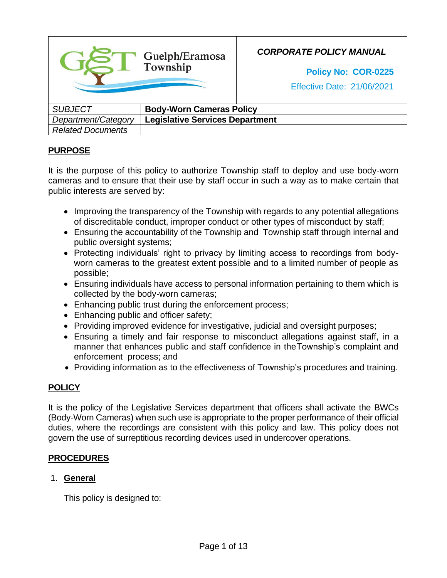|                          | Guelph/Eramosa<br>Township             | <b>CORPORATE POLICY MANUAL</b><br>Policy No: COR-0225<br><b>Effective Date: 21/06/2021</b> |
|--------------------------|----------------------------------------|--------------------------------------------------------------------------------------------|
| <b>SUBJECT</b>           | <b>Body-Worn Cameras Policy</b>        |                                                                                            |
| Department/Category      | <b>Legislative Services Department</b> |                                                                                            |
| <b>Related Documents</b> |                                        |                                                                                            |

## **PURPOSE**

It is the purpose of this policy to authorize Township staff to deploy and use body-worn cameras and to ensure that their use by staff occur in such a way as to make certain that public interests are served by:

- Improving the transparency of the Township with regards to any potential allegations of discreditable conduct, improper conduct or other types of misconduct by staff;
- Ensuring the accountability of the Township and Township staff through internal and public oversight systems;
- Protecting individuals' right to privacy by limiting access to recordings from bodyworn cameras to the greatest extent possible and to a limited number of people as possible;
- Ensuring individuals have access to personal information pertaining to them which is collected by the body-worn cameras;
- Enhancing public trust during the enforcement process;
- Enhancing public and officer safety;
- Providing improved evidence for investigative, judicial and oversight purposes;
- Ensuring a timely and fair response to misconduct allegations against staff, in a manner that enhances public and staff confidence in theTownship's complaint and enforcement process; and
- Providing information as to the effectiveness of Township's procedures and training.

# **POLICY**

It is the policy of the Legislative Services department that officers shall activate the BWCs (Body-Worn Cameras) when such use is appropriate to the proper performance of their official duties, where the recordings are consistent with this policy and law. This policy does not govern the use of surreptitious recording devices used in undercover operations.

## **PROCEDURES**

## 1. **General**

This policy is designed to: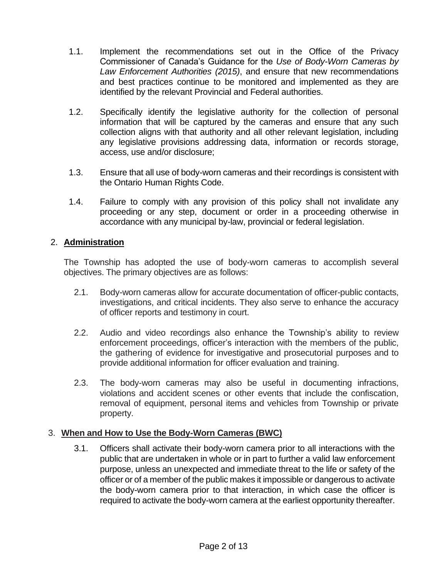- 1.1. Implement the recommendations set out in the Office of the Privacy Commissioner of Canada's Guidance for the *Use of Body-Worn Cameras by Law Enforcement Authorities (2015)*, and ensure that new recommendations and best practices continue to be monitored and implemented as they are identified by the relevant Provincial and Federal authorities.
- 1.2. Specifically identify the legislative authority for the collection of personal information that will be captured by the cameras and ensure that any such collection aligns with that authority and all other relevant legislation, including any legislative provisions addressing data, information or records storage, access, use and/or disclosure;
- 1.3. Ensure that all use of body-worn cameras and their recordings is consistent with the Ontario Human Rights Code.
- 1.4. Failure to comply with any provision of this policy shall not invalidate any proceeding or any step, document or order in a proceeding otherwise in accordance with any municipal by-law, provincial or federal legislation.

#### 2. **Administration**

The Township has adopted the use of body-worn cameras to accomplish several objectives. The primary objectives are as follows:

- 2.1. Body-worn cameras allow for accurate documentation of officer-public contacts, investigations, and critical incidents. They also serve to enhance the accuracy of officer reports and testimony in court.
- 2.2. Audio and video recordings also enhance the Township's ability to review enforcement proceedings, officer's interaction with the members of the public, the gathering of evidence for investigative and prosecutorial purposes and to provide additional information for officer evaluation and training.
- 2.3. The body-worn cameras may also be useful in documenting infractions, violations and accident scenes or other events that include the confiscation, removal of equipment, personal items and vehicles from Township or private property.

## 3. **When and How to Use the Body-Worn Cameras (BWC)**

3.1. Officers shall activate their body-worn camera prior to all interactions with the public that are undertaken in whole or in part to further a valid law enforcement purpose, unless an unexpected and immediate threat to the life or safety of the officer or of a member of the public makes it impossible or dangerous to activate the body-worn camera prior to that interaction, in which case the officer is required to activate the body-worn camera at the earliest opportunity thereafter.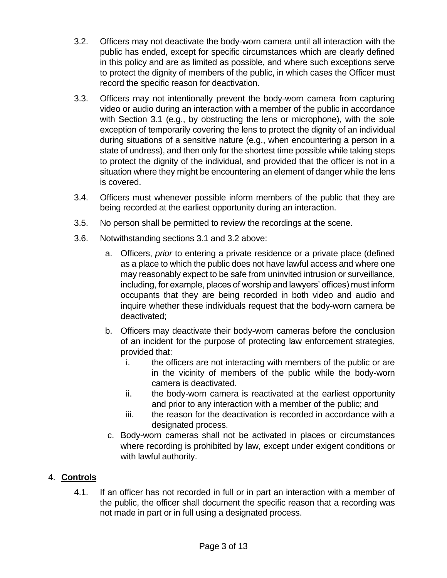- 3.2. Officers may not deactivate the body-worn camera until all interaction with the public has ended, except for specific circumstances which are clearly defined in this policy and are as limited as possible, and where such exceptions serve to protect the dignity of members of the public, in which cases the Officer must record the specific reason for deactivation.
- 3.3. Officers may not intentionally prevent the body-worn camera from capturing video or audio during an interaction with a member of the public in accordance with Section 3.1 (e.g., by obstructing the lens or microphone), with the sole exception of temporarily covering the lens to protect the dignity of an individual during situations of a sensitive nature (e.g., when encountering a person in a state of undress), and then only for the shortest time possible while taking steps to protect the dignity of the individual, and provided that the officer is not in a situation where they might be encountering an element of danger while the lens is covered.
- 3.4. Officers must whenever possible inform members of the public that they are being recorded at the earliest opportunity during an interaction.
- 3.5. No person shall be permitted to review the recordings at the scene.
- 3.6. Notwithstanding sections 3.1 and 3.2 above:
	- a. Officers, *prior* to entering a private residence or a private place (defined as a place to which the public does not have lawful access and where one may reasonably expect to be safe from uninvited intrusion or surveillance, including, for example, places of worship and lawyers' offices) must inform occupants that they are being recorded in both video and audio and inquire whether these individuals request that the body-worn camera be deactivated;
	- b. Officers may deactivate their body-worn cameras before the conclusion of an incident for the purpose of protecting law enforcement strategies, provided that:
		- i. the officers are not interacting with members of the public or are in the vicinity of members of the public while the body-worn camera is deactivated.
		- ii. the body-worn camera is reactivated at the earliest opportunity and prior to any interaction with a member of the public; and
		- iii. the reason for the deactivation is recorded in accordance with a designated process.
	- c. Body-worn cameras shall not be activated in places or circumstances where recording is prohibited by law, except under exigent conditions or with lawful authority.

# 4. **Controls**

4.1. If an officer has not recorded in full or in part an interaction with a member of the public, the officer shall document the specific reason that a recording was not made in part or in full using a designated process.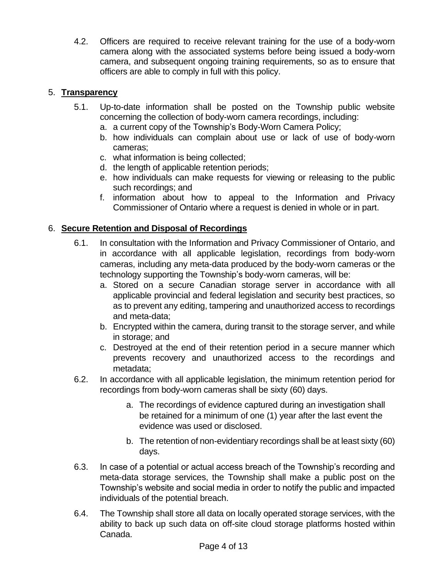4.2. Officers are required to receive relevant training for the use of a body-worn camera along with the associated systems before being issued a body-worn camera, and subsequent ongoing training requirements, so as to ensure that officers are able to comply in full with this policy.

## 5. **Transparency**

- 5.1. Up-to-date information shall be posted on the Township public website concerning the collection of body-worn camera recordings, including:
	- a. a current copy of the Township's Body-Worn Camera Policy;
	- b. how individuals can complain about use or lack of use of body-worn cameras;
	- c. what information is being collected;
	- d. the length of applicable retention periods;
	- e. how individuals can make requests for viewing or releasing to the public such recordings; and
	- f. information about how to appeal to the Information and Privacy Commissioner of Ontario where a request is denied in whole or in part.

## 6. **Secure Retention and Disposal of Recordings**

- 6.1. In consultation with the Information and Privacy Commissioner of Ontario, and in accordance with all applicable legislation, recordings from body-worn cameras, including any meta-data produced by the body-worn cameras or the technology supporting the Township's body-worn cameras, will be:
	- a. Stored on a secure Canadian storage server in accordance with all applicable provincial and federal legislation and security best practices, so as to prevent any editing, tampering and unauthorized access to recordings and meta-data;
	- b. Encrypted within the camera, during transit to the storage server, and while in storage; and
	- c. Destroyed at the end of their retention period in a secure manner which prevents recovery and unauthorized access to the recordings and metadata;
- 6.2. In accordance with all applicable legislation, the minimum retention period for recordings from body-worn cameras shall be sixty (60) days.
	- a. The recordings of evidence captured during an investigation shall be retained for a minimum of one (1) year after the last event the evidence was used or disclosed.
	- b. The retention of non-evidentiary recordings shall be at least sixty (60) days.
- 6.3. In case of a potential or actual access breach of the Township's recording and meta-data storage services, the Township shall make a public post on the Township's website and social media in order to notify the public and impacted individuals of the potential breach.
- 6.4. The Township shall store all data on locally operated storage services, with the ability to back up such data on off-site cloud storage platforms hosted within Canada.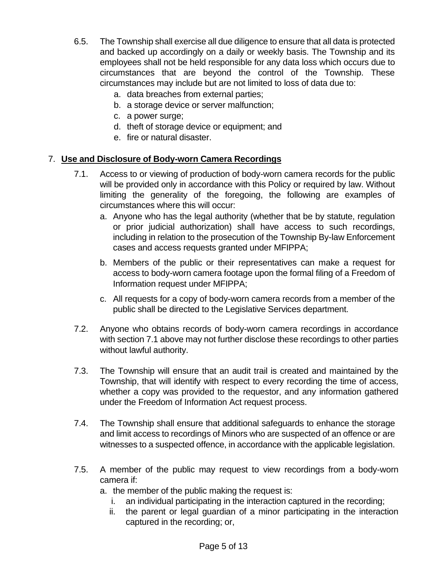- 6.5. The Township shall exercise all due diligence to ensure that all data is protected and backed up accordingly on a daily or weekly basis. The Township and its employees shall not be held responsible for any data loss which occurs due to circumstances that are beyond the control of the Township. These circumstances may include but are not limited to loss of data due to:
	- a. data breaches from external parties;
	- b. a storage device or server malfunction;
	- c. a power surge;
	- d. theft of storage device or equipment; and
	- e. fire or natural disaster.

#### 7. **Use and Disclosure of Body-worn Camera Recordings**

- 7.1. Access to or viewing of production of body-worn camera records for the public will be provided only in accordance with this Policy or required by law. Without limiting the generality of the foregoing, the following are examples of circumstances where this will occur:
	- a. Anyone who has the legal authority (whether that be by statute, regulation or prior judicial authorization) shall have access to such recordings, including in relation to the prosecution of the Township By-law Enforcement cases and access requests granted under MFIPPA;
	- b. Members of the public or their representatives can make a request for access to body-worn camera footage upon the formal filing of a Freedom of Information request under MFIPPA;
	- c. All requests for a copy of body-worn camera records from a member of the public shall be directed to the Legislative Services department.
- 7.2. Anyone who obtains records of body-worn camera recordings in accordance with section 7.1 above may not further disclose these recordings to other parties without lawful authority.
- 7.3. The Township will ensure that an audit trail is created and maintained by the Township, that will identify with respect to every recording the time of access, whether a copy was provided to the requestor, and any information gathered under the Freedom of Information Act request process.
- 7.4. The Township shall ensure that additional safeguards to enhance the storage and limit access to recordings of Minors who are suspected of an offence or are witnesses to a suspected offence, in accordance with the applicable legislation.
- 7.5. A member of the public may request to view recordings from a body-worn camera if:
	- a. the member of the public making the request is:
		- i. an individual participating in the interaction captured in the recording;
		- ii. the parent or legal guardian of a minor participating in the interaction captured in the recording; or,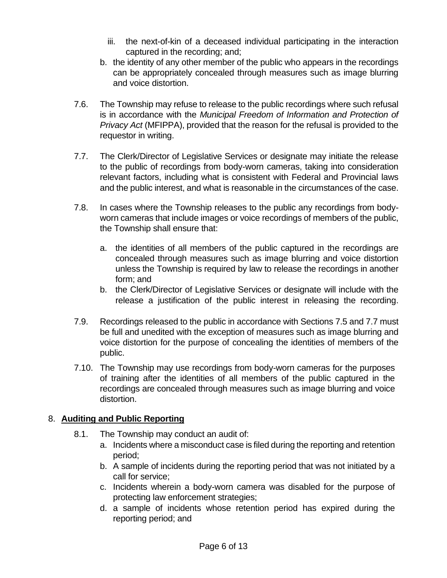- iii. the next-of-kin of a deceased individual participating in the interaction captured in the recording; and;
- b. the identity of any other member of the public who appears in the recordings can be appropriately concealed through measures such as image blurring and voice distortion.
- 7.6. The Township may refuse to release to the public recordings where such refusal is in accordance with the *Municipal Freedom of Information and Protection of Privacy Act* (MFIPPA), provided that the reason for the refusal is provided to the requestor in writing.
- 7.7. The Clerk/Director of Legislative Services or designate may initiate the release to the public of recordings from body-worn cameras, taking into consideration relevant factors, including what is consistent with Federal and Provincial laws and the public interest, and what is reasonable in the circumstances of the case.
- 7.8. In cases where the Township releases to the public any recordings from bodyworn cameras that include images or voice recordings of members of the public, the Township shall ensure that:
	- a. the identities of all members of the public captured in the recordings are concealed through measures such as image blurring and voice distortion unless the Township is required by law to release the recordings in another form; and
	- b. the Clerk/Director of Legislative Services or designate will include with the release a justification of the public interest in releasing the recording.
- 7.9. Recordings released to the public in accordance with Sections 7.5 and 7.7 must be full and unedited with the exception of measures such as image blurring and voice distortion for the purpose of concealing the identities of members of the public.
- 7.10. The Township may use recordings from body-worn cameras for the purposes of training after the identities of all members of the public captured in the recordings are concealed through measures such as image blurring and voice distortion.

## 8. **Auditing and Public Reporting**

- 8.1. The Township may conduct an audit of:
	- a. Incidents where a misconduct case is filed during the reporting and retention period;
	- b. A sample of incidents during the reporting period that was not initiated by a call for service;
	- c. Incidents wherein a body-worn camera was disabled for the purpose of protecting law enforcement strategies;
	- d. a sample of incidents whose retention period has expired during the reporting period; and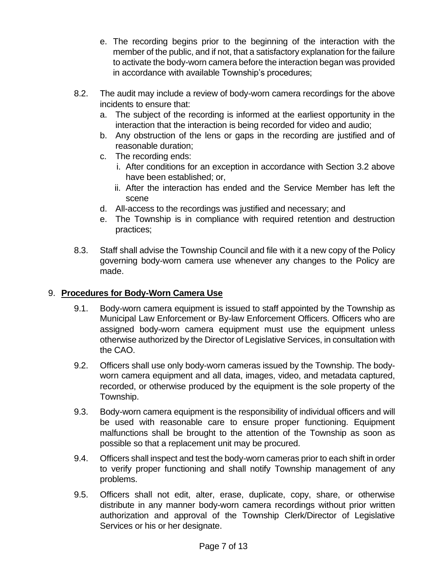- e. The recording begins prior to the beginning of the interaction with the member of the public, and if not, that a satisfactory explanation for the failure to activate the body-worn camera before the interaction began was provided in accordance with available Township's procedures;
- 8.2. The audit may include a review of body-worn camera recordings for the above incidents to ensure that:
	- a. The subject of the recording is informed at the earliest opportunity in the interaction that the interaction is being recorded for video and audio;
	- b. Any obstruction of the lens or gaps in the recording are justified and of reasonable duration;
	- c. The recording ends:
		- i. After conditions for an exception in accordance with Section 3.2 above have been established; or,
		- ii. After the interaction has ended and the Service Member has left the scene
	- d. All-access to the recordings was justified and necessary; and
	- e. The Township is in compliance with required retention and destruction practices;
- 8.3. Staff shall advise the Township Council and file with it a new copy of the Policy governing body-worn camera use whenever any changes to the Policy are made.

# 9. **Procedures for Body-Worn Camera Use**

- 9.1. Body-worn camera equipment is issued to staff appointed by the Township as Municipal Law Enforcement or By-law Enforcement Officers. Officers who are assigned body-worn camera equipment must use the equipment unless otherwise authorized by the Director of Legislative Services, in consultation with the CAO.
- 9.2. Officers shall use only body-worn cameras issued by the Township. The bodyworn camera equipment and all data, images, video, and metadata captured, recorded, or otherwise produced by the equipment is the sole property of the Township.
- 9.3. Body-worn camera equipment is the responsibility of individual officers and will be used with reasonable care to ensure proper functioning. Equipment malfunctions shall be brought to the attention of the Township as soon as possible so that a replacement unit may be procured.
- 9.4. Officers shall inspect and test the body-worn cameras prior to each shift in order to verify proper functioning and shall notify Township management of any problems.
- 9.5. Officers shall not edit, alter, erase, duplicate, copy, share, or otherwise distribute in any manner body-worn camera recordings without prior written authorization and approval of the Township Clerk/Director of Legislative Services or his or her designate.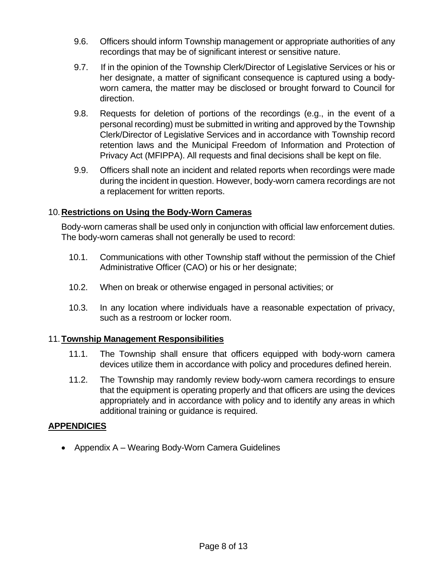- 9.6. Officers should inform Township management or appropriate authorities of any recordings that may be of significant interest or sensitive nature.
- 9.7. If in the opinion of the Township Clerk/Director of Legislative Services or his or her designate, a matter of significant consequence is captured using a bodyworn camera, the matter may be disclosed or brought forward to Council for direction.
- 9.8. Requests for deletion of portions of the recordings (e.g., in the event of a personal recording) must be submitted in writing and approved by the Township Clerk/Director of Legislative Services and in accordance with Township record retention laws and the Municipal Freedom of Information and Protection of Privacy Act (MFIPPA). All requests and final decisions shall be kept on file.
- 9.9. Officers shall note an incident and related reports when recordings were made during the incident in question. However, body-worn camera recordings are not a replacement for written reports.

## 10.**Restrictions on Using the Body-Worn Cameras**

Body-worn cameras shall be used only in conjunction with official law enforcement duties. The body-worn cameras shall not generally be used to record:

- 10.1. Communications with other Township staff without the permission of the Chief Administrative Officer (CAO) or his or her designate;
- 10.2. When on break or otherwise engaged in personal activities; or
- 10.3. In any location where individuals have a reasonable expectation of privacy, such as a restroom or locker room.

## 11.**Township Management Responsibilities**

- 11.1. The Township shall ensure that officers equipped with body-worn camera devices utilize them in accordance with policy and procedures defined herein.
- 11.2. The Township may randomly review body-worn camera recordings to ensure that the equipment is operating properly and that officers are using the devices appropriately and in accordance with policy and to identify any areas in which additional training or guidance is required.

#### **APPENDICIES**

• Appendix A – Wearing Body-Worn Camera Guidelines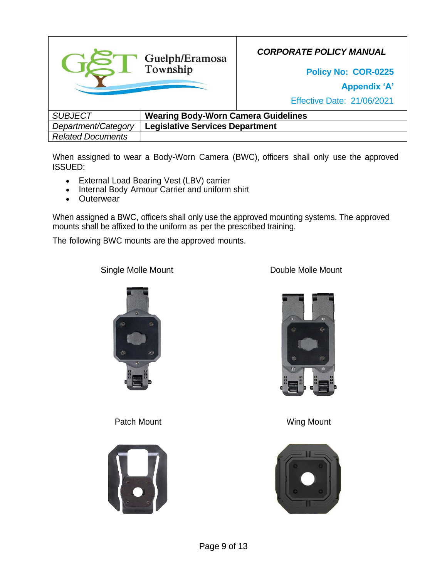

When assigned to wear a Body-Worn Camera (BWC), officers shall only use the approved ISSUED:

- External Load Bearing Vest (LBV) carrier
- Internal Body Armour Carrier and uniform shirt
- **Outerwear**

When assigned a BWC, officers shall only use the approved mounting systems. The approved mounts shall be affixed to the uniform as per the prescribed training.

The following BWC mounts are the approved mounts.

Single Molle Mount **Double Molle Mount** 



Patch Mount Note and Wing Mount





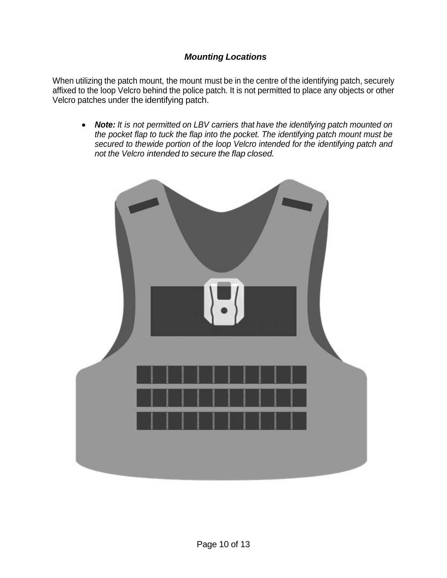## *Mounting Locations*

When utilizing the patch mount, the mount must be in the centre of the identifying patch, securely affixed to the loop Velcro behind the police patch. It is not permitted to place any objects or other Velcro patches under the identifying patch.

• *Note: It is not permitted on LBV carriers that have the identifying patch mounted on the pocket flap to tuck the flap into the pocket. The identifying patch mount must be secured to thewide portion of the loop Velcro intended for the identifying patch and not the Velcro intended to secure the flap closed.*

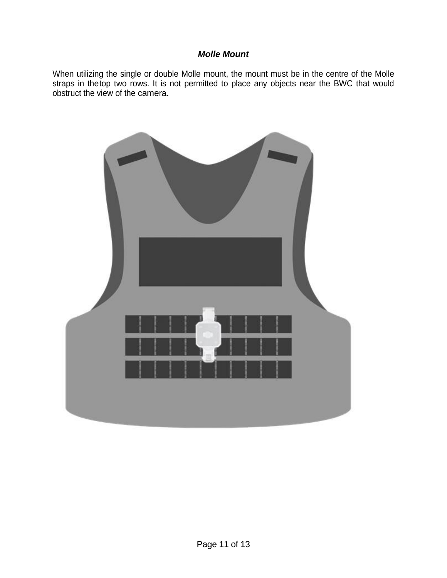## *Molle Mount*

When utilizing the single or double Molle mount, the mount must be in the centre of the Molle straps in thetop two rows. It is not permitted to place any objects near the BWC that would obstruct the view of the camera.

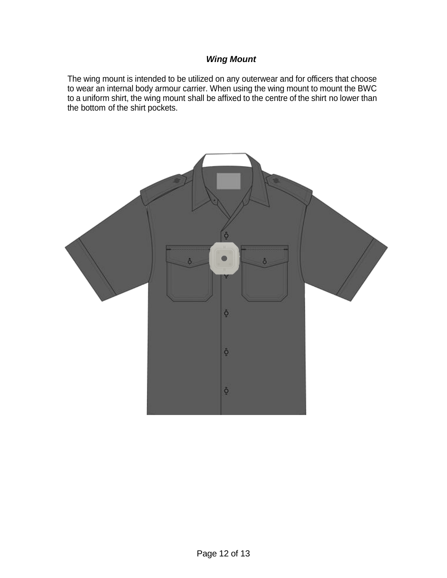## *Wing Mount*

The wing mount is intended to be utilized on any outerwear and for officers that choose to wear an internal body armour carrier. When using the wing mount to mount the BWC to a uniform shirt, the wing mount shall be affixed to the centre of the shirt no lower than the bottom of the shirt pockets.